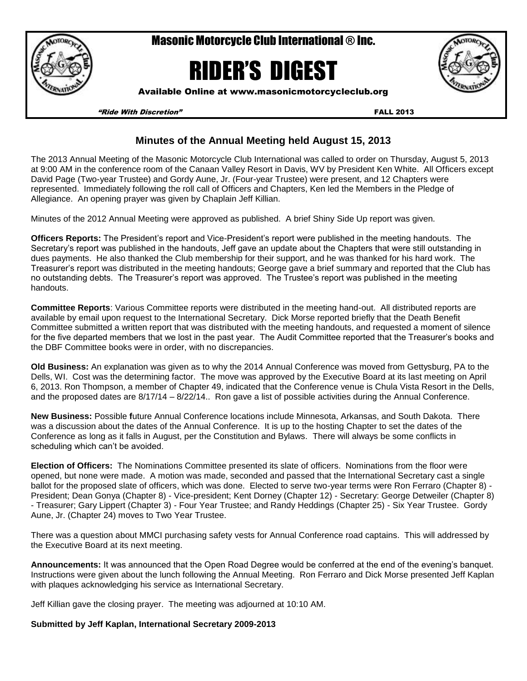

Masonic Motorcycle Club International ® Inc.

# RIDER'S DIGEST

Available Online at www.masonicmotorcycleclub.org

"Ride With Discretion" FALL 2013

### **Minutes of the Annual Meeting held August 15, 2013**

The 2013 Annual Meeting of the Masonic Motorcycle Club International was called to order on Thursday, August 5, 2013 at 9:00 AM in the conference room of the Canaan Valley Resort in Davis, WV by President Ken White. All Officers except David Page (Two-year Trustee) and Gordy Aune, Jr. (Four-year Trustee) were present, and 12 Chapters were represented. Immediately following the roll call of Officers and Chapters, Ken led the Members in the Pledge of Allegiance. An opening prayer was given by Chaplain Jeff Killian.

Minutes of the 2012 Annual Meeting were approved as published. A brief Shiny Side Up report was given.

**Officers Reports:** The President's report and Vice-President's report were published in the meeting handouts. The Secretary's report was published in the handouts, Jeff gave an update about the Chapters that were still outstanding in dues payments. He also thanked the Club membership for their support, and he was thanked for his hard work. The Treasurer's report was distributed in the meeting handouts; George gave a brief summary and reported that the Club has no outstanding debts. The Treasurer's report was approved. The Trustee's report was published in the meeting handouts.

**Committee Reports**: Various Committee reports were distributed in the meeting hand-out. All distributed reports are available by email upon request to the International Secretary. Dick Morse reported briefly that the Death Benefit Committee submitted a written report that was distributed with the meeting handouts, and requested a moment of silence for the five departed members that we lost in the past year. The Audit Committee reported that the Treasurer's books and the DBF Committee books were in order, with no discrepancies.

**Old Business:** An explanation was given as to why the 2014 Annual Conference was moved from Gettysburg, PA to the Dells, WI. Cost was the determining factor. The move was approved by the Executive Board at its last meeting on April 6, 2013. Ron Thompson, a member of Chapter 49, indicated that the Conference venue is Chula Vista Resort in the Dells, and the proposed dates are 8/17/14 – 8/22/14.. Ron gave a list of possible activities during the Annual Conference.

**New Business:** Possible **f**uture Annual Conference locations include Minnesota, Arkansas, and South Dakota. There was a discussion about the dates of the Annual Conference. It is up to the hosting Chapter to set the dates of the Conference as long as it falls in August, per the Constitution and Bylaws. There will always be some conflicts in scheduling which can't be avoided.

**Election of Officers:** The Nominations Committee presented its slate of officers. Nominations from the floor were opened, but none were made. A motion was made, seconded and passed that the International Secretary cast a single ballot for the proposed slate of officers, which was done. Elected to serve two-year terms were Ron Ferraro (Chapter 8) - President; Dean Gonya (Chapter 8) - Vice-president; Kent Dorney (Chapter 12) - Secretary: George Detweiler (Chapter 8) - Treasurer; Gary Lippert (Chapter 3) - Four Year Trustee; and Randy Heddings (Chapter 25) - Six Year Trustee. Gordy Aune, Jr. (Chapter 24) moves to Two Year Trustee.

There was a question about MMCI purchasing safety vests for Annual Conference road captains. This will addressed by the Executive Board at its next meeting.

**Announcements:** It was announced that the Open Road Degree would be conferred at the end of the evening's banquet. Instructions were given about the lunch following the Annual Meeting. Ron Ferraro and Dick Morse presented Jeff Kaplan with plaques acknowledging his service as International Secretary.

Jeff Killian gave the closing prayer. The meeting was adjourned at 10:10 AM.

#### **Submitted by Jeff Kaplan, International Secretary 2009-2013**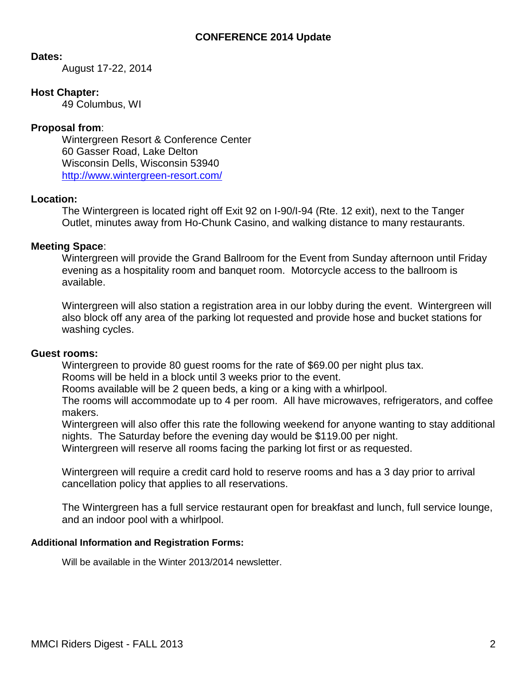#### **CONFERENCE 2014 Update**

#### **Dates:**

August 17-22, 2014

#### **Host Chapter:**

49 Columbus, WI

#### **Proposal from**:

Wintergreen Resort & Conference Center 60 Gasser Road, Lake Delton Wisconsin Dells, Wisconsin 53940 <http://www.wintergreen-resort.com/>

#### **Location:**

The Wintergreen is located right off Exit 92 on I-90/I-94 (Rte. 12 exit), next to the Tanger Outlet, minutes away from Ho-Chunk Casino, and walking distance to many restaurants.

#### **Meeting Space**:

Wintergreen will provide the Grand Ballroom for the Event from Sunday afternoon until Friday evening as a hospitality room and banquet room. Motorcycle access to the ballroom is available.

Wintergreen will also station a registration area in our lobby during the event. Wintergreen will also block off any area of the parking lot requested and provide hose and bucket stations for washing cycles.

#### **Guest rooms:**

Wintergreen to provide 80 guest rooms for the rate of \$69.00 per night plus tax.

Rooms will be held in a block until 3 weeks prior to the event.

Rooms available will be 2 queen beds, a king or a king with a whirlpool.

The rooms will accommodate up to 4 per room. All have microwaves, refrigerators, and coffee makers.

Wintergreen will also offer this rate the following weekend for anyone wanting to stay additional nights. The Saturday before the evening day would be \$119.00 per night.

Wintergreen will reserve all rooms facing the parking lot first or as requested.

Wintergreen will require a credit card hold to reserve rooms and has a 3 day prior to arrival cancellation policy that applies to all reservations.

The Wintergreen has a full service restaurant open for breakfast and lunch, full service lounge, and an indoor pool with a whirlpool.

#### **Additional Information and Registration Forms:**

Will be available in the Winter 2013/2014 newsletter.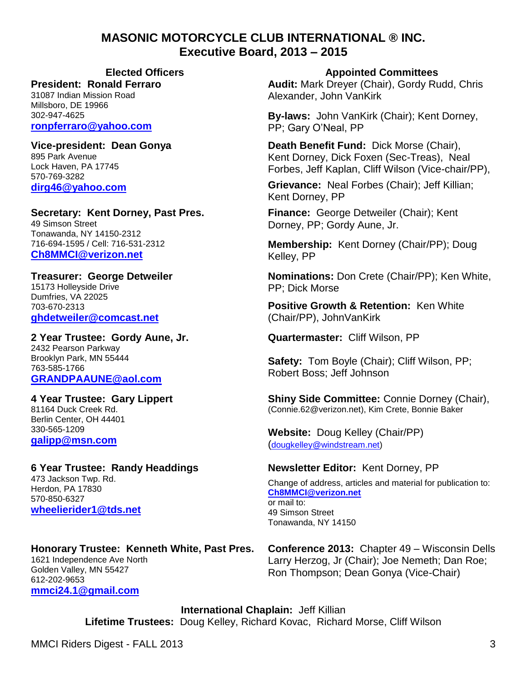# **MASONIC MOTORCYCLE CLUB INTERNATIONAL ® INC. Executive Board, 2013 – 2015**

#### **President: Ronald Ferraro**

31087 Indian Mission Road Millsboro, DE 19966 302-947-4625 **[ronpferraro@yahoo.com](mailto:ronpferraro@yahoo.com)**

**Vice-president: Dean Gonya** 895 Park Avenue Lock Haven, PA 17745 570-769-3282 **[dirg46@yahoo.com](mailto:dirg46@yahoo.com)**

**Secretary: Kent Dorney, Past Pres.** 49 Simson Street Tonawanda, NY 14150-2312 716-694-1595 / Cell: 716-531-2312 **[Ch8MMCI@verizon.net](mailto:Ch8MMCI@verizon.net)**

**Treasurer: George Detweiler** 15173 Holleyside Drive Dumfries, VA 22025 703-670-2313 **[ghdetweiler@comcast.net](mailto:ghdetweiler@comcast.net)** 

**2 Year Trustee: Gordy Aune, Jr.** 2432 Pearson Parkway Brooklyn Park, MN 55444 763-585-1766 **[GRANDPAAUNE@aol.com](mailto:GRANDPAAUNE@aol.com)**

**4 Year Trustee: Gary Lippert** 81164 Duck Creek Rd. Berlin Center, OH 44401 330-565-1209 **[galipp@msn.com](mailto:galipp@msn.com)**

#### **6 Year Trustee: Randy Headdings** 473 Jackson Twp. Rd. Herdon, PA 17830

570-850-6327 **[wheelierider1@tds.net](mailto:wheelierider1@tds.net)**

#### **Honorary Trustee: Kenneth White, Past Pres.** 1621 Independence Ave North Golden Valley, MN 55427 612-202-9653 **[mmci24.1@gmail.com](mailto:mmci24.1@gmail.com)**

**Elected Officers Appointed Committees**

**Audit:** Mark Dreyer (Chair), Gordy Rudd, Chris Alexander, John VanKirk

**By-laws:** John VanKirk (Chair); Kent Dorney, PP; Gary O'Neal, PP

**Death Benefit Fund:** Dick Morse (Chair), Kent Dorney, Dick Foxen (Sec-Treas), Neal Forbes, Jeff Kaplan, Cliff Wilson (Vice-chair/PP),

**Grievance:** Neal Forbes (Chair); Jeff Killian; Kent Dorney, PP

**Finance:** George Detweiler (Chair); Kent Dorney, PP; Gordy Aune, Jr.

**Membership:** Kent Dorney (Chair/PP); Doug Kelley, PP

**Nominations:** Don Crete (Chair/PP); Ken White, PP; Dick Morse

**Positive Growth & Retention:** Ken White (Chair/PP), JohnVanKirk

**Quartermaster:** Cliff Wilson, PP

**Safety:** Tom Boyle (Chair); Cliff Wilson, PP; Robert Boss; Jeff Johnson

**Shiny Side Committee:** Connie Dorney (Chair), [\(Connie.62@verizon.net\)](mailto:Connie.62@verizon.net), Kim Crete, Bonnie Baker

**Website:** Doug Kelley (Chair/PP) ([dougkelley@windstream.net\)](mailto:dougkelley@windstream.net)

# **Newsletter Editor:** Kent Dorney, PP

Change of address, articles and material for publication to: **[Ch8MMCI@verizon.net](mailto:Ch8MMCI@verizon.net)** or mail to: 49 Simson Street Tonawanda, NY 14150

**Conference 2013:** Chapter 49 – Wisconsin Dells Larry Herzog, Jr (Chair); Joe Nemeth; Dan Roe; Ron Thompson; Dean Gonya (Vice-Chair)

**International Chaplain:** Jeff Killian **Lifetime Trustees:** Doug Kelley, Richard Kovac, Richard Morse, Cliff Wilson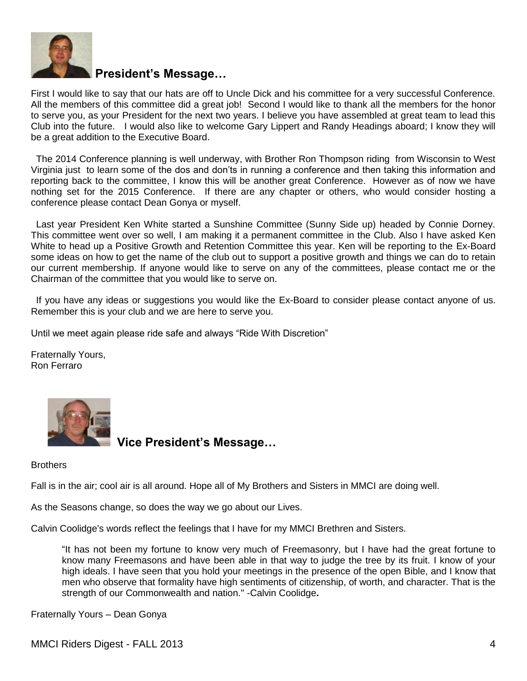

# **President's Message…**

First I would like to say that our hats are off to Uncle Dick and his committee for a very successful Conference. All the members of this committee did a great job! Second I would like to thank all the members for the honor to serve you, as your President for the next two years. I believe you have assembled at great team to lead this Club into the future. I would also like to welcome Gary Lippert and Randy Headings aboard; I know they will be a great addition to the Executive Board.

 The 2014 Conference planning is well underway, with Brother Ron Thompson riding from Wisconsin to West Virginia just to learn some of the dos and don'ts in running a conference and then taking this information and reporting back to the committee, I know this will be another great Conference. However as of now we have nothing set for the 2015 Conference. If there are any chapter or others, who would consider hosting a conference please contact Dean Gonya or myself.

 Last year President Ken White started a Sunshine Committee (Sunny Side up) headed by Connie Dorney. This committee went over so well, I am making it a permanent committee in the Club. Also I have asked Ken White to head up a Positive Growth and Retention Committee this year. Ken will be reporting to the Ex-Board some ideas on how to get the name of the club out to support a positive growth and things we can do to retain our current membership. If anyone would like to serve on any of the committees, please contact me or the Chairman of the committee that you would like to serve on.

 If you have any ideas or suggestions you would like the Ex-Board to consider please contact anyone of us. Remember this is your club and we are here to serve you.

Until we meet again please ride safe and always "Ride With Discretion"

Fraternally Yours, Ron Ferraro



 **Vice President's Message…** 

**Brothers** 

Fall is in the air; cool air is all around. Hope all of My Brothers and Sisters in MMCI are doing well.

As the Seasons change, so does the way we go about our Lives.

Calvin Coolidge's words reflect the feelings that I have for my MMCI Brethren and Sisters.

"It has not been my fortune to know very much of Freemasonry, but I have had the great fortune to know many Freemasons and have been able in that way to judge the tree by its fruit. I know of your high ideals. I have seen that you hold your meetings in the presence of the open Bible, and I know that men who observe that formality have high sentiments of citizenship, of worth, and character. That is the strength of our Commonwealth and nation." -Calvin Coolidge**.**

Fraternally Yours – Dean Gonya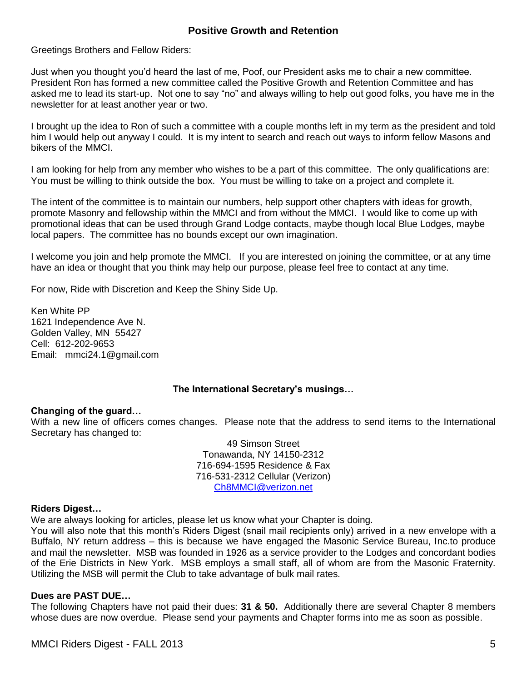#### **Positive Growth and Retention**

Greetings Brothers and Fellow Riders:

Just when you thought you'd heard the last of me, Poof, our President asks me to chair a new committee. President Ron has formed a new committee called the Positive Growth and Retention Committee and has asked me to lead its start-up. Not one to say "no" and always willing to help out good folks, you have me in the newsletter for at least another year or two.

I brought up the idea to Ron of such a committee with a couple months left in my term as the president and told him I would help out anyway I could. It is my intent to search and reach out ways to inform fellow Masons and bikers of the MMCI.

I am looking for help from any member who wishes to be a part of this committee. The only qualifications are: You must be willing to think outside the box. You must be willing to take on a project and complete it.

The intent of the committee is to maintain our numbers, help support other chapters with ideas for growth, promote Masonry and fellowship within the MMCI and from without the MMCI. I would like to come up with promotional ideas that can be used through Grand Lodge contacts, maybe though local Blue Lodges, maybe local papers. The committee has no bounds except our own imagination.

I welcome you join and help promote the MMCI. If you are interested on joining the committee, or at any time have an idea or thought that you think may help our purpose, please feel free to contact at any time.

For now, Ride with Discretion and Keep the Shiny Side Up.

Ken White PP 1621 Independence Ave N. Golden Valley, MN 55427 Cell: 612-202-9653 Email: mmci24.1@gmail.com

#### **The International Secretary's musings…**

#### **Changing of the guard…**

With a new line of officers comes changes. Please note that the address to send items to the International Secretary has changed to:

> 49 Simson Street Tonawanda, NY 14150-2312 716-694-1595 Residence & Fax 716-531-2312 Cellular (Verizon) [Ch8MMCI@verizon.net](mailto:Ch8MMCI@verizon.net)

#### **Riders Digest…**

We are always looking for articles, please let us know what your Chapter is doing.

You will also note that this month's Riders Digest (snail mail recipients only) arrived in a new envelope with a Buffalo, NY return address – this is because we have engaged the Masonic Service Bureau, Inc.to produce and mail the newsletter. MSB was founded in 1926 as a service provider to the Lodges and concordant bodies of the Erie Districts in New York. MSB employs a small staff, all of whom are from the Masonic Fraternity. Utilizing the MSB will permit the Club to take advantage of bulk mail rates.

#### **Dues are PAST DUE…**

The following Chapters have not paid their dues: **31 & 50.** Additionally there are several Chapter 8 members whose dues are now overdue. Please send your payments and Chapter forms into me as soon as possible.